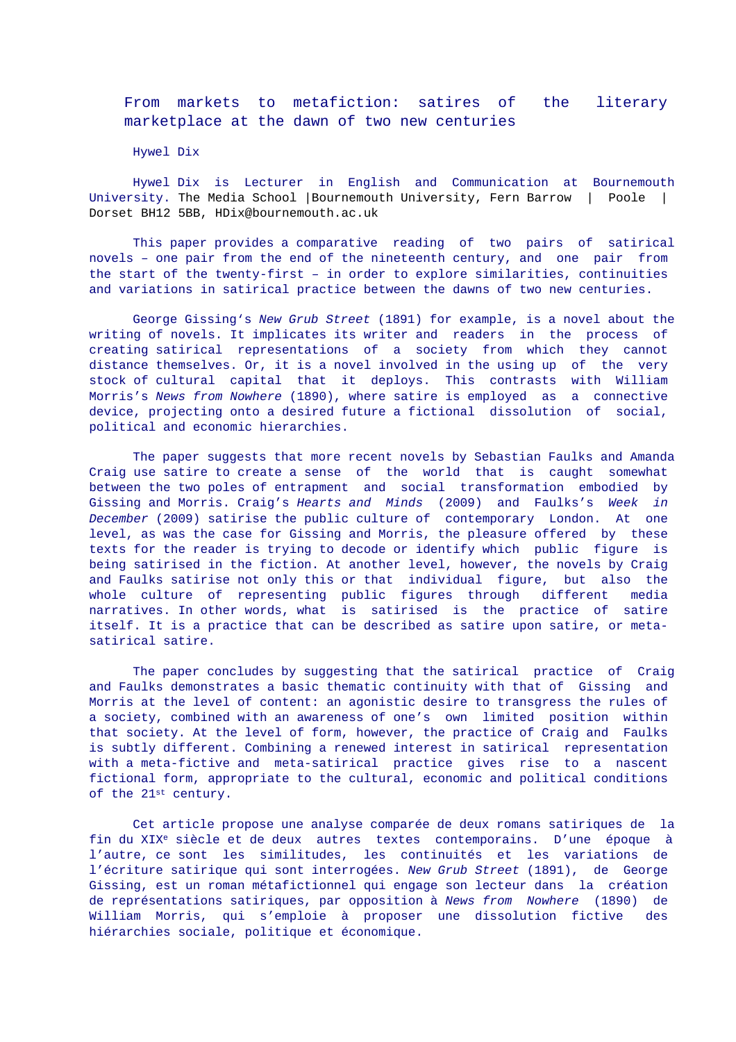From markets to metafiction: satires of the literary marketplace at the dawn of two new centuries

Hywel Dix

Hywel Dix is Lecturer in English and Communication at Bournemouth University. The Media School |Bournemouth University, Fern Barrow | Poole | Dorset BH12 5BB, HDix@bournemouth.ac.uk

This paper provides a comparative reading of two pairs of satirical novels – one pair from the end of the nineteenth century, and one pair from the start of the twenty-first – in order to explore similarities, continuities and variations in satirical practice between the dawns of two new centuries.

George Gissing's New Grub Street (1891) for example, is a novel about the writing of novels. It implicates its writer and readers in the process of creating satirical representations of a society from which they cannot distance themselves. Or, it is a novel involved in the using up of the very stock of cultural capital that it deploys. This contrasts with William Morris's News from Nowhere (1890), where satire is employed as a connective device, projecting onto a desired future a fictional dissolution of social, political and economic hierarchies.

The paper suggests that more recent novels by Sebastian Faulks and Amanda Craig use satire to create a sense of the world that is caught somewhat between the two poles of entrapment and social transformation embodied by Gissing and Morris. Craig's Hearts and Minds (2009) and Faulks's Week in December (2009) satirise the public culture of contemporary London. At one level, as was the case for Gissing and Morris, the pleasure offered by these texts for the reader is trying to decode or identify which public figure is being satirised in the fiction. At another level, however, the novels by Craig and Faulks satirise not only this or that individual figure, but also the whole culture of representing public figures through different media narratives. In other words, what is satirised is the practice of satire itself. It is a practice that can be described as satire upon satire, or metasatirical satire.

The paper concludes by suggesting that the satirical practice of Craig and Faulks demonstrates a basic thematic continuity with that of Gissing and Morris at the level of content: an agonistic desire to transgress the rules of a society, combined with an awareness of one's own limited position within that society. At the level of form, however, the practice of Craig and Faulks is subtly different. Combining a renewed interest in satirical representation with a meta-fictive and meta-satirical practice gives rise to a nascent fictional form, appropriate to the cultural, economic and political conditions of the 21st century.

Cet article propose une analyse comparée de deux romans satiriques de la fin du XIXe siècle et de deux autres textes contemporains. D'une époque à l'autre, ce sont les similitudes, les continuités et les variations de l'écriture satirique qui sont interrogées. New Grub Street (1891), de George Gissing, est un roman métafictionnel qui engage son lecteur dans la création de représentations satiriques, par opposition à News from Nowhere (1890) de William Morris, qui s'emploie à proposer une dissolution fictive des hiérarchies sociale, politique et économique.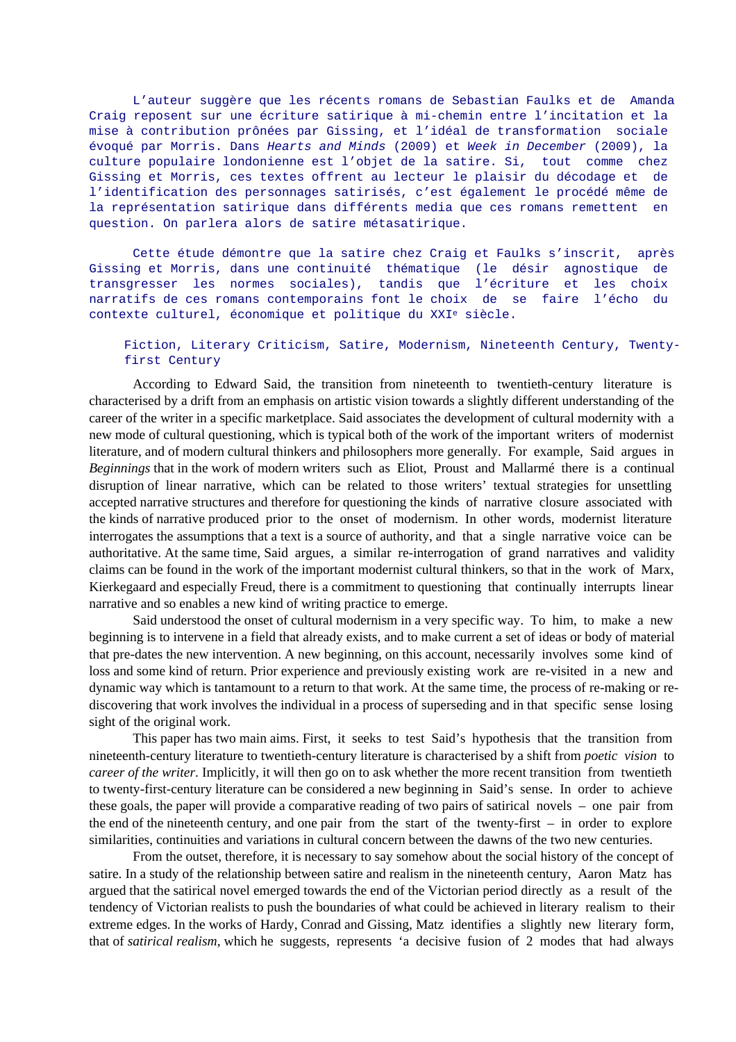L'auteur suggère que les récents romans de Sebastian Faulks et de Amanda Craig reposent sur une écriture satirique à mi-chemin entre l'incitation et la mise à contribution prônées par Gissing, et l'idéal de transformation sociale évoqué par Morris. Dans Hearts and Minds (2009) et Week in December (2009), la culture populaire londonienne est l'objet de la satire. Si, tout comme chez Gissing et Morris, ces textes offrent au lecteur le plaisir du décodage et de l'identification des personnages satirisés, c'est également le procédé même de la représentation satirique dans différents media que ces romans remettent en question. On parlera alors de satire métasatirique.

Cette étude démontre que la satire chez Craig et Faulks s'inscrit, après Gissing et Morris, dans une continuité thématique (le désir agnostique de transgresser les normes sociales), tandis que l'écriture et les choix narratifs de ces romans contemporains font le choix de se faire l'écho du contexte culturel, économique et politique du XXIe siècle.

#### Fiction, Literary Criticism, Satire, Modernism, Nineteenth Century, Twentyfirst Century

According to Edward Said, the transition from nineteenth to twentieth-century literature is characterised by a drift from an emphasis on artistic vision towards a slightly different understanding of the career of the writer in a specific marketplace. Said associates the development of cultural modernity with a new mode of cultural questioning, which is typical both of the work of the important writers of modernist literature, and of modern cultural thinkers and philosophers more generally. For example, Said argues in *Beginnings* that in the work of modern writers such as Eliot, Proust and Mallarmé there is a continual disruption of linear narrative, which can be related to those writers' textual strategies for unsettling accepted narrative structures and therefore for questioning the kinds of narrative closure associated with the kinds of narrative produced prior to the onset of modernism. In other words, modernist literature interrogates the assumptions that a text is a source of authority, and that a single narrative voice can be authoritative. At the same time, Said argues, a similar re-interrogation of grand narratives and validity claims can be found in the work of the important modernist cultural thinkers, so that in the work of Marx, Kierkegaard and especially Freud, there is a commitment to questioning that continually interrupts linear narrative and so enables a new kind of writing practice to emerge.

Said understood the onset of cultural modernism in a very specific way. To him, to make a new beginning is to intervene in a field that already exists, and to make current a set of ideas or body of material that pre-dates the new intervention. A new beginning, on this account, necessarily involves some kind of loss and some kind of return. Prior experience and previously existing work are re-visited in a new and dynamic way which is tantamount to a return to that work. At the same time, the process of re-making or rediscovering that work involves the individual in a process of superseding and in that specific sense losing sight of the original work.

This paper has two main aims. First, it seeks to test Said's hypothesis that the transition from nineteenth-century literature to twentieth-century literature is characterised by a shift from *poetic vision* to *career of the writer*. Implicitly, it will then go on to ask whether the more recent transition from twentieth to twenty-first-century literature can be considered a new beginning in Said's sense. In order to achieve these goals, the paper will provide a comparative reading of two pairs of satirical novels – one pair from the end of the nineteenth century, and one pair from the start of the twenty-first – in order to explore similarities, continuities and variations in cultural concern between the dawns of the two new centuries.

From the outset, therefore, it is necessary to say somehow about the social history of the concept of satire. In a study of the relationship between satire and realism in the nineteenth century, Aaron Matz has argued that the satirical novel emerged towards the end of the Victorian period directly as a result of the tendency of Victorian realists to push the boundaries of what could be achieved in literary realism to their extreme edges. In the works of Hardy, Conrad and Gissing, Matz identifies a slightly new literary form, that of *satirical realism*, which he suggests, represents 'a decisive fusion of 2 modes that had always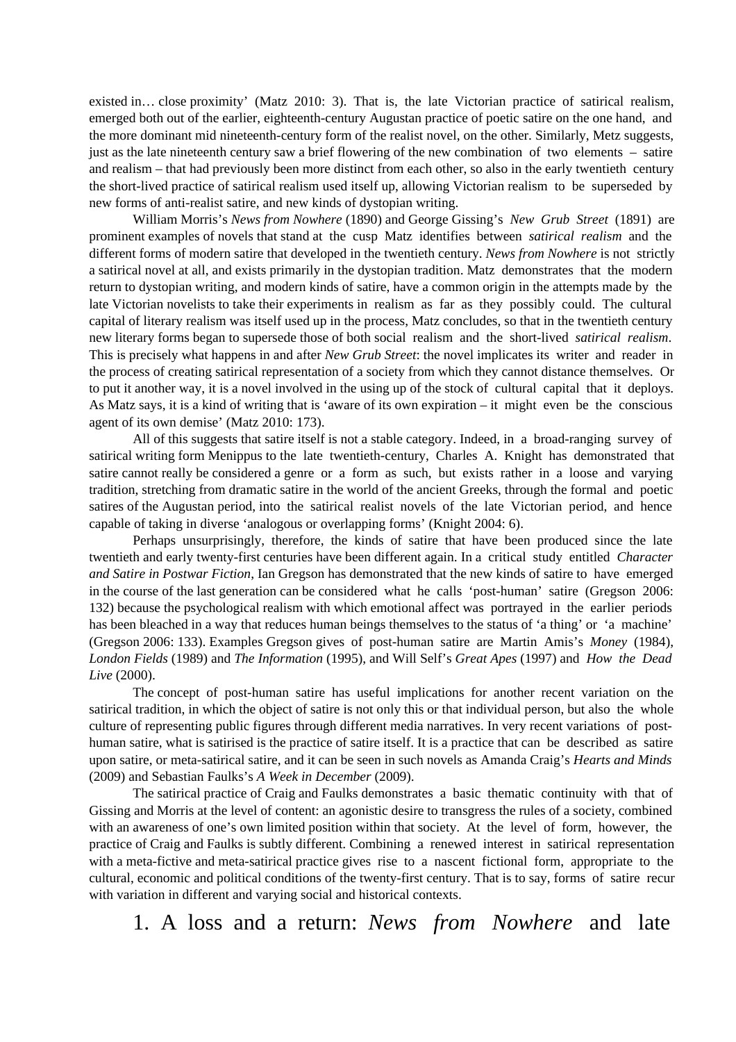existed in… close proximity' (Matz 2010: 3). That is, the late Victorian practice of satirical realism, emerged both out of the earlier, eighteenth-century Augustan practice of poetic satire on the one hand, and the more dominant mid nineteenth-century form of the realist novel, on the other. Similarly, Metz suggests, just as the late nineteenth century saw a brief flowering of the new combination of two elements – satire and realism – that had previously been more distinct from each other, so also in the early twentieth century the short-lived practice of satirical realism used itself up, allowing Victorian realism to be superseded by new forms of anti-realist satire, and new kinds of dystopian writing.

William Morris's *News from Nowhere* (1890) and George Gissing's *New Grub Street* (1891) are prominent examples of novels that stand at the cusp Matz identifies between *satirical realism* and the different forms of modern satire that developed in the twentieth century. *News from Nowhere* is not strictly a satirical novel at all, and exists primarily in the dystopian tradition. Matz demonstrates that the modern return to dystopian writing, and modern kinds of satire, have a common origin in the attempts made by the late Victorian novelists to take their experiments in realism as far as they possibly could. The cultural capital of literary realism was itself used up in the process, Matz concludes, so that in the twentieth century new literary forms began to supersede those of both social realism and the short-lived *satirical realism*. This is precisely what happens in and after *New Grub Street*: the novel implicates its writer and reader in the process of creating satirical representation of a society from which they cannot distance themselves. Or to put it another way, it is a novel involved in the using up of the stock of cultural capital that it deploys. As Matz says, it is a kind of writing that is 'aware of its own expiration – it might even be the conscious agent of its own demise' (Matz 2010: 173).

All of this suggests that satire itself is not a stable category. Indeed, in a broad-ranging survey of satirical writing form Menippus to the late twentieth-century, Charles A. Knight has demonstrated that satire cannot really be considered a genre or a form as such, but exists rather in a loose and varying tradition, stretching from dramatic satire in the world of the ancient Greeks, through the formal and poetic satires of the Augustan period, into the satirical realist novels of the late Victorian period, and hence capable of taking in diverse 'analogous or overlapping forms' (Knight 2004: 6).

Perhaps unsurprisingly, therefore, the kinds of satire that have been produced since the late twentieth and early twenty-first centuries have been different again. In a critical study entitled *Character and Satire in Postwar Fiction*, Ian Gregson has demonstrated that the new kinds of satire to have emerged in the course of the last generation can be considered what he calls 'post-human' satire (Gregson 2006: 132) because the psychological realism with which emotional affect was portrayed in the earlier periods has been bleached in a way that reduces human beings themselves to the status of 'a thing' or 'a machine' (Gregson 2006: 133). Examples Gregson gives of post-human satire are Martin Amis's *Money* (1984), *London Fields* (1989) and *The Information* (1995), and Will Self's *Great Apes* (1997) and *How the Dead Live* (2000).

The concept of post-human satire has useful implications for another recent variation on the satirical tradition, in which the object of satire is not only this or that individual person, but also the whole culture of representing public figures through different media narratives. In very recent variations of posthuman satire, what is satirised is the practice of satire itself. It is a practice that can be described as satire upon satire, or meta-satirical satire, and it can be seen in such novels as Amanda Craig's *Hearts and Minds* (2009) and Sebastian Faulks's *A Week in December* (2009).

The satirical practice of Craig and Faulks demonstrates a basic thematic continuity with that of Gissing and Morris at the level of content: an agonistic desire to transgress the rules of a society, combined with an awareness of one's own limited position within that society. At the level of form, however, the practice of Craig and Faulks is subtly different. Combining a renewed interest in satirical representation with a meta-fictive and meta-satirical practice gives rise to a nascent fictional form, appropriate to the cultural, economic and political conditions of the twenty-first century. That is to say, forms of satire recur with variation in different and varying social and historical contexts.

1. A loss and a return: *News from Nowhere* andlate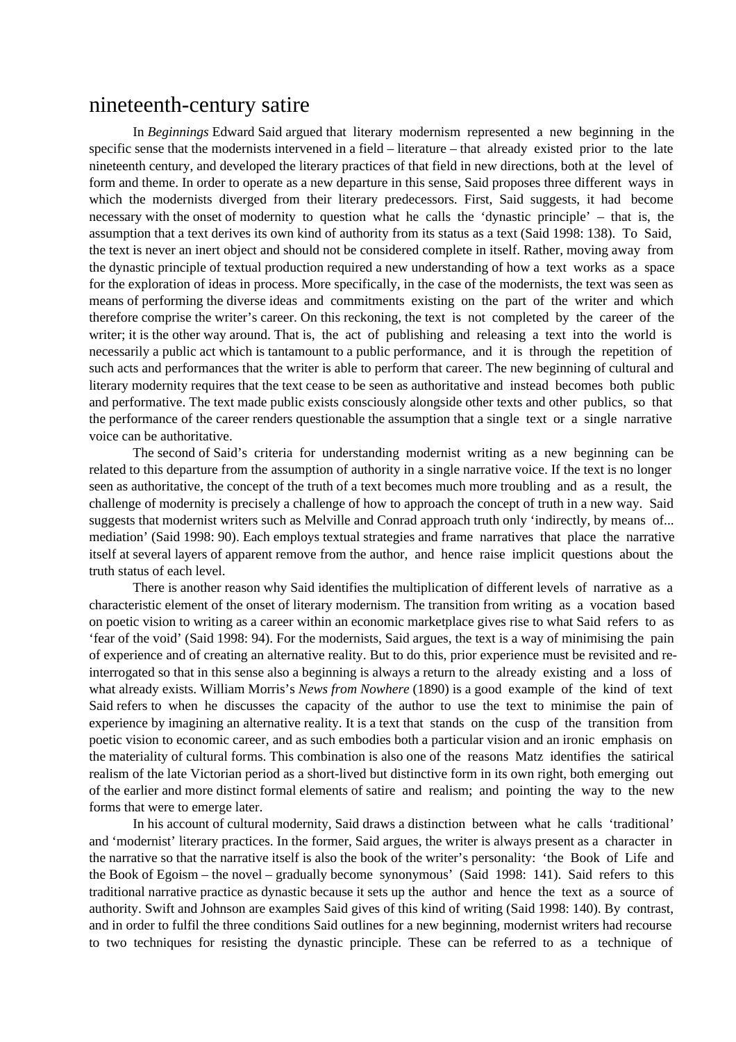### nineteenth-century satire

In *Beginnings* Edward Said argued that literary modernism represented a new beginning in the specific sense that the modernists intervened in a field – literature – that already existed prior to the late nineteenth century, and developed the literary practices of that field in new directions, both at the level of form and theme. In order to operate as a new departure in this sense, Said proposes three different ways in which the modernists diverged from their literary predecessors. First, Said suggests, it had become necessary with the onset of modernity to question what he calls the 'dynastic principle' – that is, the assumption that a text derives its own kind of authority from its status as a text (Said 1998: 138). To Said, the text is never an inert object and should not be considered complete in itself. Rather, moving away from the dynastic principle of textual production required a new understanding of how a text works as a space for the exploration of ideas in process. More specifically, in the case of the modernists, the text was seen as means of performing the diverse ideas and commitments existing on the part of the writer and which therefore comprise the writer's career. On this reckoning, the text is not completed by the career of the writer; it is the other way around. That is, the act of publishing and releasing a text into the world is necessarily a public act which is tantamount to a public performance, and it is through the repetition of such acts and performances that the writer is able to perform that career. The new beginning of cultural and literary modernity requires that the text cease to be seen as authoritative and instead becomes both public and performative. The text made public exists consciously alongside other texts and other publics, so that the performance of the career renders questionable the assumption that a single text or a single narrative voice can be authoritative.

The second of Said's criteria for understanding modernist writing as a new beginning can be related to this departure from the assumption of authority in a single narrative voice. If the text is no longer seen as authoritative, the concept of the truth of a text becomes much more troubling and as a result, the challenge of modernity is precisely a challenge of how to approach the concept of truth in a new way. Said suggests that modernist writers such as Melville and Conrad approach truth only 'indirectly, by means of... mediation' (Said 1998: 90). Each employs textual strategies and frame narratives that place the narrative itself at several layers of apparent remove from the author, and hence raise implicit questions about the truth status of each level.

There is another reason why Said identifies the multiplication of different levels of narrative as a characteristic element of the onset of literary modernism. The transition from writing as a vocation based on poetic vision to writing as a career within an economic marketplace gives rise to what Said refers to as 'fear of the void' (Said 1998: 94). For the modernists, Said argues, the text is a way of minimising the pain of experience and of creating an alternative reality. But to do this, prior experience must be revisited and reinterrogated so that in this sense also a beginning is always a return to the already existing and a loss of what already exists. William Morris's *News from Nowhere* (1890) is a good example of the kind of text Said refers to when he discusses the capacity of the author to use the text to minimise the pain of experience by imagining an alternative reality. It is a text that stands on the cusp of the transition from poetic vision to economic career, and as such embodies both a particular vision and an ironic emphasis on the materiality of cultural forms. This combination is also one of the reasons Matz identifies the satirical realism of the late Victorian period as a short-lived but distinctive form in its own right, both emerging out of the earlier and more distinct formal elements of satire and realism; and pointing the way to the new forms that were to emerge later.

In his account of cultural modernity, Said draws a distinction between what he calls 'traditional' and 'modernist' literary practices. In the former, Said argues, the writer is always present as a character in the narrative so that the narrative itself is also the book of the writer's personality: 'the Book of Life and the Book of Egoism – the novel – gradually become synonymous' (Said 1998: 141). Said refers to this traditional narrative practice as dynastic because it sets up the author and hence the text as a source of authority. Swift and Johnson are examples Said gives of this kind of writing (Said 1998: 140). By contrast, and in order to fulfil the three conditions Said outlines for a new beginning, modernist writers had recourse to two techniques for resisting the dynastic principle. These can be referred to as a technique of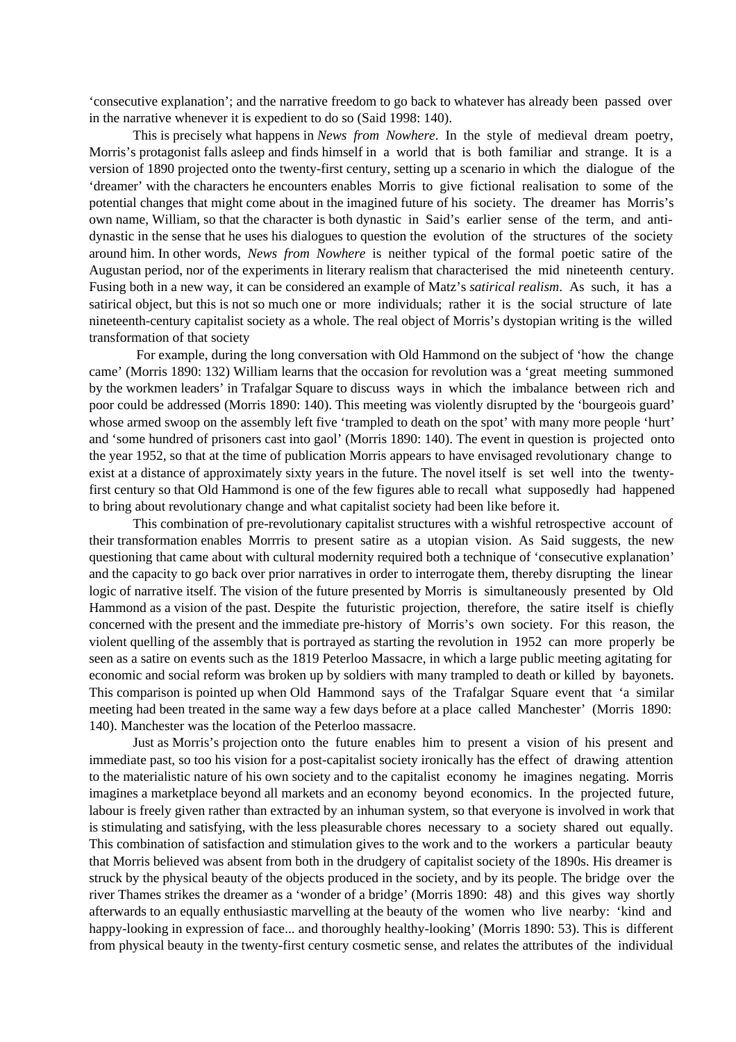'consecutive explanation'; and the narrative freedom to go back to whatever has already been passed over in the narrative whenever it is expedient to do so (Said 1998: 140).

This is precisely what happens in *News from Nowhere*. In the style of medieval dream poetry, Morris's protagonist falls asleep and finds himself in a world that is both familiar and strange. It is a version of 1890 projected onto the twenty-first century, setting up a scenario in which the dialogue of the 'dreamer' with the characters he encounters enables Morris to give fictional realisation to some of the potential changes that might come about in the imagined future of his society. The dreamer has Morris's own name, William, so that the character is both dynastic in Said's earlier sense of the term, and antidynastic in the sense that he uses his dialogues to question the evolution of the structures of the society around him. In other words, *News from Nowhere* is neither typical of the formal poetic satire of the Augustan period, nor of the experiments in literary realism that characterised the mid nineteenth century. Fusing both in a new way, it can be considered an example of Matz's *satirical realism*. As such, it has a satirical object, but this is not so much one or more individuals; rather it is the social structure of late nineteenth-century capitalist society as a whole. The real object of Morris's dystopian writing is the willed transformation of that society

 For example, during the long conversation with Old Hammond on the subject of 'how the change came' (Morris 1890: 132) William learns that the occasion for revolution was a 'great meeting summoned by the workmen leaders' in Trafalgar Square to discuss ways in which the imbalance between rich and poor could be addressed (Morris 1890: 140). This meeting was violently disrupted by the 'bourgeois guard' whose armed swoop on the assembly left five 'trampled to death on the spot' with many more people 'hurt' and 'some hundred of prisoners cast into gaol' (Morris 1890: 140). The event in question is projected onto the year 1952, so that at the time of publication Morris appears to have envisaged revolutionary change to exist at a distance of approximately sixty years in the future. The novel itself is set well into the twentyfirst century so that Old Hammond is one of the few figures able to recall what supposedly had happened to bring about revolutionary change and what capitalist society had been like before it.

This combination of pre-revolutionary capitalist structures with a wishful retrospective account of their transformation enables Morrris to present satire as a utopian vision. As Said suggests, the new questioning that came about with cultural modernity required both a technique of 'consecutive explanation' and the capacity to go back over prior narratives in order to interrogate them, thereby disrupting the linear logic of narrative itself. The vision of the future presented by Morris is simultaneously presented by Old Hammond as a vision of the past. Despite the futuristic projection, therefore, the satire itself is chiefly concerned with the present and the immediate pre-history of Morris's own society. For this reason, the violent quelling of the assembly that is portrayed as starting the revolution in 1952 can more properly be seen as a satire on events such as the 1819 Peterloo Massacre, in which a large public meeting agitating for economic and social reform was broken up by soldiers with many trampled to death or killed by bayonets. This comparison is pointed up when Old Hammond says of the Trafalgar Square event that 'a similar meeting had been treated in the same way a few days before at a place called Manchester' (Morris 1890: 140). Manchester was the location of the Peterloo massacre.

Just as Morris's projection onto the future enables him to present a vision of his present and immediate past, so too his vision for a post-capitalist society ironically has the effect of drawing attention to the materialistic nature of his own society and to the capitalist economy he imagines negating. Morris imagines a marketplace beyond all markets and an economy beyond economics. In the projected future, labour is freely given rather than extracted by an inhuman system, so that everyone is involved in work that is stimulating and satisfying, with the less pleasurable chores necessary to a society shared out equally. This combination of satisfaction and stimulation gives to the work and to the workers a particular beauty that Morris believed was absent from both in the drudgery of capitalist society of the 1890s. His dreamer is struck by the physical beauty of the objects produced in the society, and by its people. The bridge over the river Thames strikes the dreamer as a 'wonder of a bridge' (Morris 1890: 48) and this gives way shortly afterwards to an equally enthusiastic marvelling at the beauty of the women who live nearby: 'kind and happy-looking in expression of face... and thoroughly healthy-looking' (Morris 1890: 53). This is different from physical beauty in the twenty-first century cosmetic sense, and relates the attributes of the individual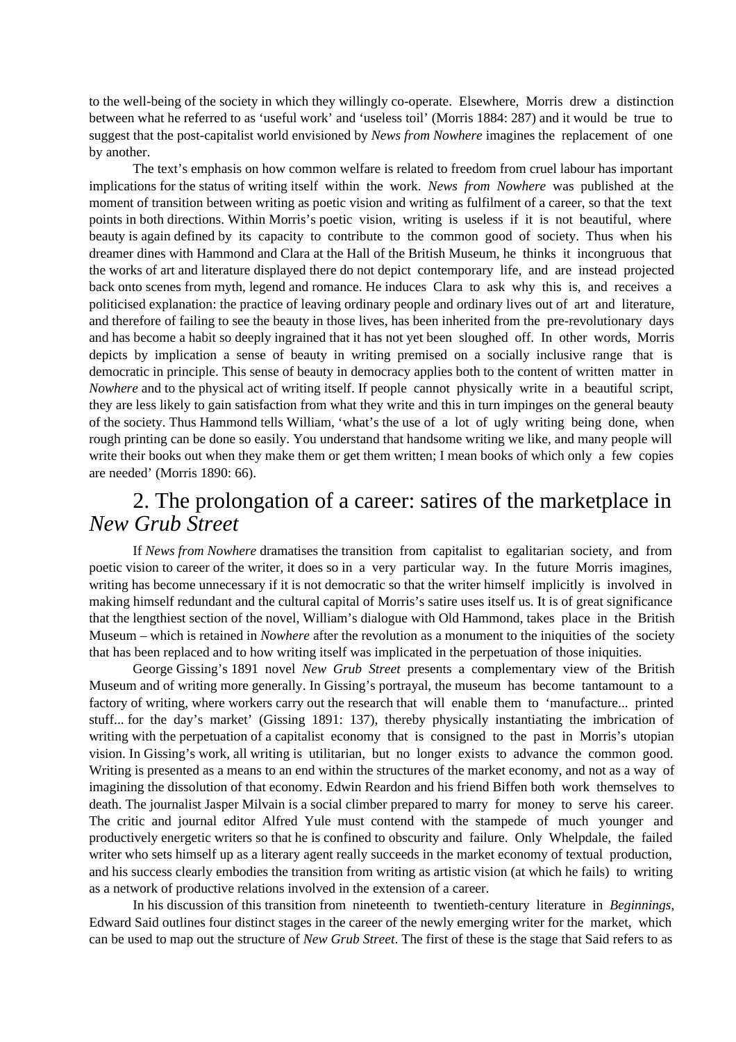to the well-being of the society in which they willingly co-operate. Elsewhere, Morris drew a distinction between what he referred to as 'useful work' and 'useless toil' (Morris 1884: 287) and it would be true to suggest that the post-capitalist world envisioned by *News from Nowhere* imagines the replacement of one by another.

The text's emphasis on how common welfare is related to freedom from cruel labour has important implications for the status of writing itself within the work. *News from Nowhere* was published at the moment of transition between writing as poetic vision and writing as fulfilment of a career, so that the text points in both directions. Within Morris's poetic vision, writing is useless if it is not beautiful, where beauty is again defined by its capacity to contribute to the common good of society. Thus when his dreamer dines with Hammond and Clara at the Hall of the British Museum, he thinks it incongruous that the works of art and literature displayed there do not depict contemporary life, and are instead projected back onto scenes from myth, legend and romance. He induces Clara to ask why this is, and receives a politicised explanation: the practice of leaving ordinary people and ordinary lives out of art and literature, and therefore of failing to see the beauty in those lives, has been inherited from the pre-revolutionary days and has become a habit so deeply ingrained that it has not yet been sloughed off. In other words, Morris depicts by implication a sense of beauty in writing premised on a socially inclusive range that is democratic in principle. This sense of beauty in democracy applies both to the content of written matter in *Nowhere* and to the physical act of writing itself. If people cannot physically write in a beautiful script, they are less likely to gain satisfaction from what they write and this in turn impinges on the general beauty of the society. Thus Hammond tells William, 'what's the use of a lot of ugly writing being done, when rough printing can be done so easily. You understand that handsome writing we like, and many people will write their books out when they make them or get them written; I mean books of which only a few copies are needed' (Morris 1890: 66).

## 2. The prolongation of a career: satires of the marketplace in *New Grub Street*

If *News from Nowhere* dramatises the transition from capitalist to egalitarian society, and from poetic vision to career of the writer, it does so in a very particular way. In the future Morris imagines, writing has become unnecessary if it is not democratic so that the writer himself implicitly is involved in making himself redundant and the cultural capital of Morris's satire uses itself us. It is of great significance that the lengthiest section of the novel, William's dialogue with Old Hammond, takes place in the British Museum – which is retained in *Nowhere* after the revolution as a monument to the iniquities of the society that has been replaced and to how writing itself was implicated in the perpetuation of those iniquities.

George Gissing's 1891 novel *New Grub Street* presents a complementary view of the British Museum and of writing more generally. In Gissing's portrayal, the museum has become tantamount to a factory of writing, where workers carry out the research that will enable them to 'manufacture... printed stuff... for the day's market' (Gissing 1891: 137), thereby physically instantiating the imbrication of writing with the perpetuation of a capitalist economy that is consigned to the past in Morris's utopian vision. In Gissing's work, all writing is utilitarian, but no longer exists to advance the common good. Writing is presented as a means to an end within the structures of the market economy, and not as a way of imagining the dissolution of that economy. Edwin Reardon and his friend Biffen both work themselves to death. The journalist Jasper Milvain is a social climber prepared to marry for money to serve his career. The critic and journal editor Alfred Yule must contend with the stampede of much younger and productively energetic writers so that he is confined to obscurity and failure. Only Whelpdale, the failed writer who sets himself up as a literary agent really succeeds in the market economy of textual production, and his success clearly embodies the transition from writing as artistic vision (at which he fails) to writing as a network of productive relations involved in the extension of a career.

In his discussion of this transition from nineteenth to twentieth-century literature in *Beginnings*, Edward Said outlines four distinct stages in the career of the newly emerging writer for the market, which can be used to map out the structure of *New Grub Street*. The first of these is the stage that Said refers to as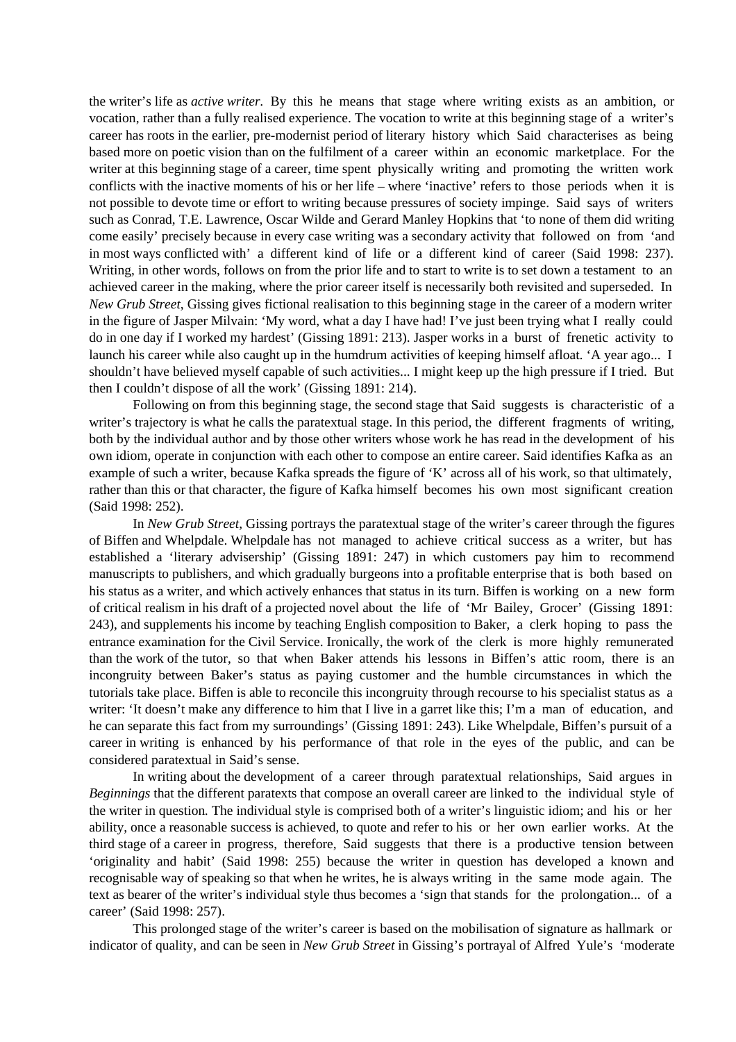the writer's life as *active writer.* By this he means that stage where writing exists as an ambition, or vocation, rather than a fully realised experience. The vocation to write at this beginning stage of a writer's career has roots in the earlier, pre-modernist period of literary history which Said characterises as being based more on poetic vision than on the fulfilment of a career within an economic marketplace. For the writer at this beginning stage of a career, time spent physically writing and promoting the written work conflicts with the inactive moments of his or her life – where 'inactive' refers to those periods when it is not possible to devote time or effort to writing because pressures of society impinge. Said says of writers such as Conrad, T.E. Lawrence, Oscar Wilde and Gerard Manley Hopkins that 'to none of them did writing come easily' precisely because in every case writing was a secondary activity that followed on from 'and in most ways conflicted with' a different kind of life or a different kind of career (Said 1998: 237). Writing, in other words, follows on from the prior life and to start to write is to set down a testament to an achieved career in the making, where the prior career itself is necessarily both revisited and superseded. In *New Grub Street*, Gissing gives fictional realisation to this beginning stage in the career of a modern writer in the figure of Jasper Milvain: 'My word, what a day I have had! I've just been trying what I really could do in one day if I worked my hardest' (Gissing 1891: 213). Jasper works in a burst of frenetic activity to launch his career while also caught up in the humdrum activities of keeping himself afloat. 'A year ago... I shouldn't have believed myself capable of such activities... I might keep up the high pressure if I tried. But then I couldn't dispose of all the work' (Gissing 1891: 214).

Following on from this beginning stage, the second stage that Said suggests is characteristic of a writer's trajectory is what he calls the paratextual stage. In this period, the different fragments of writing, both by the individual author and by those other writers whose work he has read in the development of his own idiom, operate in conjunction with each other to compose an entire career. Said identifies Kafka as an example of such a writer, because Kafka spreads the figure of 'K' across all of his work, so that ultimately, rather than this or that character, the figure of Kafka himself becomes his own most significant creation (Said 1998: 252).

In *New Grub Street*, Gissing portrays the paratextual stage of the writer's career through the figures of Biffen and Whelpdale. Whelpdale has not managed to achieve critical success as a writer, but has established a 'literary advisership' (Gissing 1891: 247) in which customers pay him to recommend manuscripts to publishers, and which gradually burgeons into a profitable enterprise that is both based on his status as a writer, and which actively enhances that status in its turn. Biffen is working on a new form of critical realism in his draft of a projected novel about the life of 'Mr Bailey, Grocer' (Gissing 1891: 243), and supplements his income by teaching English composition to Baker, a clerk hoping to pass the entrance examination for the Civil Service. Ironically, the work of the clerk is more highly remunerated than the work of the tutor, so that when Baker attends his lessons in Biffen's attic room, there is an incongruity between Baker's status as paying customer and the humble circumstances in which the tutorials take place. Biffen is able to reconcile this incongruity through recourse to his specialist status as a writer: 'It doesn't make any difference to him that I live in a garret like this; I'm a man of education, and he can separate this fact from my surroundings' (Gissing 1891: 243). Like Whelpdale, Biffen's pursuit of a career in writing is enhanced by his performance of that role in the eyes of the public, and can be considered paratextual in Said's sense.

In writing about the development of a career through paratextual relationships, Said argues in *Beginnings* that the different paratexts that compose an overall career are linked to the individual styleof the writer in question*.* The individual style is comprised both of a writer's linguistic idiom; and his or her ability, once a reasonable success is achieved, to quote and refer to his or her own earlier works. At the third stage of a career in progress, therefore, Said suggests that there is a productive tension between 'originality and habit'(Said 1998: 255) because the writer in question has developed a known and recognisable way of speaking so that when he writes, he is always writing in the same mode again. The text as bearer of the writer's individual style thus becomes a 'sign that stands for the prolongation... of a career' (Said 1998: 257).

This prolonged stage of the writer's career is based on the mobilisation of signature as hallmark or indicator of quality, and can be seen in *New Grub Street* in Gissing's portrayal of Alfred Yule's 'moderate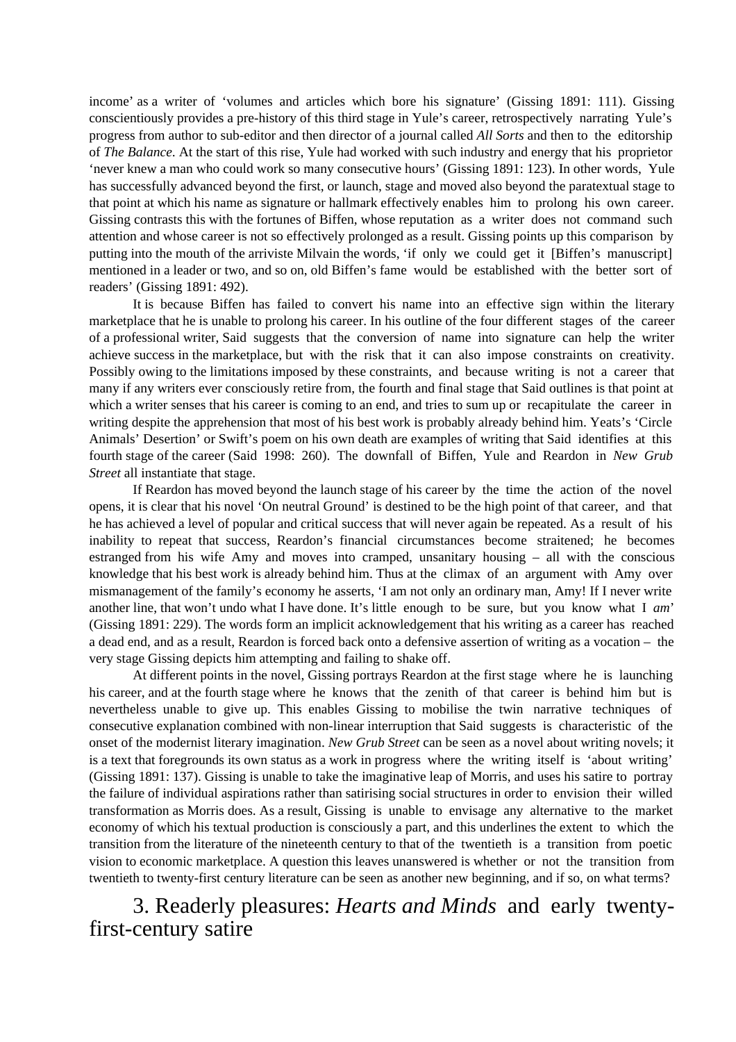income' as a writer of 'volumes and articles which bore his signature' (Gissing 1891: 111). Gissing conscientiously provides a pre-history of this third stage in Yule's career, retrospectively narrating Yule's progress from author to sub-editor and then director of a journal called *All Sorts* and then to the editorship of *The Balance*. At the start of this rise, Yule had worked with such industry and energy that his proprietor 'never knew a man who could work so many consecutive hours' (Gissing 1891: 123). In other words, Yule has successfully advanced beyond the first, or launch, stage and moved also beyond the paratextual stage to that point at which his name as signature or hallmark effectively enables him to prolong his own career. Gissing contrasts this with the fortunes of Biffen, whose reputation as a writer does not command such attention and whose career is not so effectively prolonged as a result. Gissing points up this comparison by putting into the mouth of the arriviste Milvain the words, 'if only we could get it [Biffen's manuscript] mentioned in a leader or two, and so on, old Biffen's fame would be established with the better sort of readers' (Gissing 1891: 492).

It is because Biffen has failed to convert his name into an effective sign within the literary marketplace that he is unable to prolong his career. In his outline of the four different stages of the career of a professional writer, Said suggests that the conversion of name into signature can help the writer achieve success in the marketplace, but with the risk that it can also impose constraints on creativity. Possibly owing to the limitations imposed by these constraints, and because writing is not a career that many if any writers ever consciously retire from, the fourth and final stage that Said outlines is that point at which a writer senses that his career is coming to an end, and tries to sum up or recapitulate the career in writing despite the apprehension that most of his best work is probably already behind him. Yeats's 'Circle Animals' Desertion' or Swift's poem on his own death are examples of writing that Said identifies at this fourth stage of the career (Said 1998: 260). The downfall of Biffen, Yule and Reardon in *New Grub Street* all instantiate that stage.

If Reardon has moved beyond the launch stage of his career by the time the action of the novel opens, it is clear that his novel 'On neutral Ground' is destined to be the high point of that career, and that he has achieved a level of popular and critical success that will never again be repeated. As a result of his inability to repeat that success, Reardon's financial circumstances become straitened; he becomes estranged from his wife Amy and moves into cramped, unsanitary housing – all with the conscious knowledge that his best work is already behind him. Thus at the climax of an argument with Amy over mismanagement of the family's economy he asserts, 'I am not only an ordinary man, Amy! If I never write another line, that won't undo what I have done. It's little enough to be sure, but you know what I *am*' (Gissing 1891: 229). The words form an implicit acknowledgement that his writing as a career has reached a dead end, and as a result, Reardon is forced back onto a defensive assertion of writing as a vocation – the very stage Gissing depicts him attempting and failing to shake off.

At different points in the novel, Gissing portrays Reardon at the first stage where he is launching his career, and at the fourth stage where he knows that the zenith of that career is behind him but is nevertheless unable to give up. This enables Gissing to mobilise the twin narrative techniques of consecutive explanation combined with non-linear interruption that Said suggests is characteristic of the onset of the modernist literary imagination. *New Grub Street* can be seen as a novel about writing novels; it is a text that foregrounds its own status as a work in progress where the writing itself is 'about writing' (Gissing 1891: 137). Gissing is unable to take the imaginative leap of Morris, and uses his satire to portray the failure of individual aspirations rather than satirising social structures in order to envision their willed transformation as Morris does. As a result, Gissing is unable to envisage any alternative to the market economy of which his textual production is consciously a part, and this underlines the extent to which the transition from the literature of the nineteenth century to that of the twentieth is a transition from poetic vision to economic marketplace. A question this leaves unanswered is whether or not the transition from twentieth to twenty-first century literature can be seen as another new beginning, and if so, on what terms?

## 3. Readerly pleasures: *Hearts and Minds* and early twentyfirst-century satire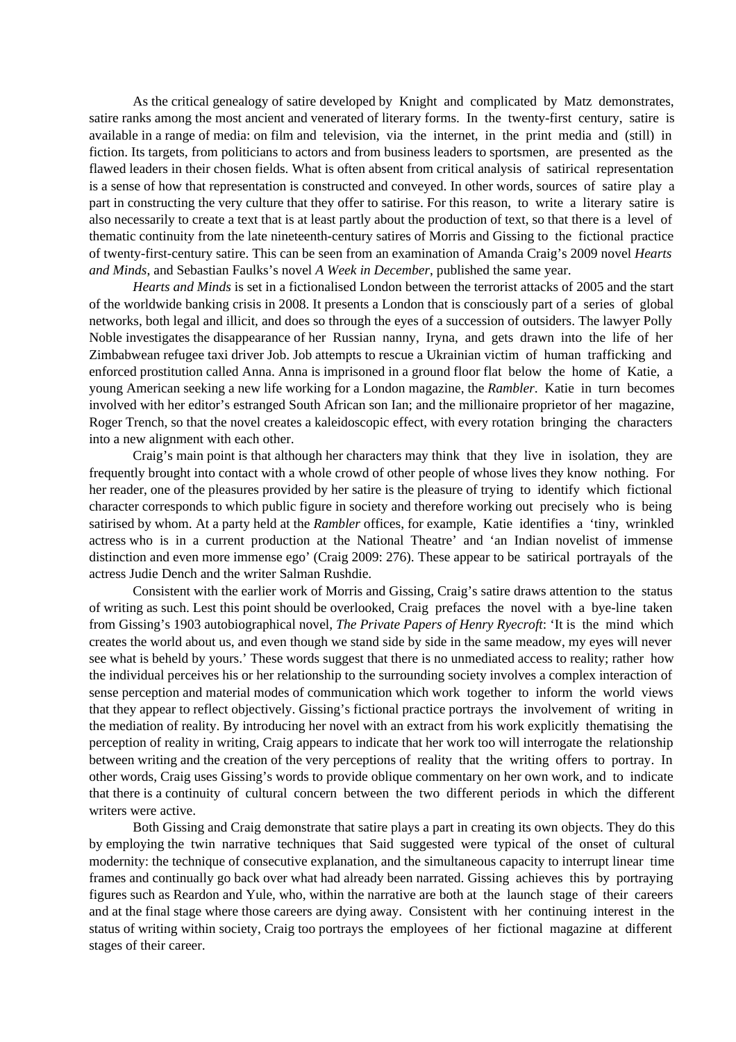As the critical genealogy of satire developed by Knight and complicated by Matz demonstrates, satire ranks among the most ancient and venerated of literary forms. In the twenty-first century, satire is available in a range of media: on film and television, via the internet, in the print media and (still) in fiction. Its targets, from politicians to actors and from business leaders to sportsmen, are presented as the flawed leaders in their chosen fields. What is often absent from critical analysis of satirical representation is a sense of how that representation is constructed and conveyed. In other words, sources of satire play a part in constructing the very culture that they offer to satirise. For this reason, to write a literary satire is also necessarily to create a text that is at least partly about the production of text, so that there is a level of thematic continuity from the late nineteenth-century satires of Morris and Gissing to the fictional practice of twenty-first-century satire. This can be seen from an examination of Amanda Craig's 2009 novel *Hearts and Minds*, and Sebastian Faulks's novel *A Week in December*, published the same year.

*Hearts and Minds* is set in a fictionalised London between the terrorist attacks of 2005 and the start of the worldwide banking crisis in 2008. It presents a London that is consciously part of a series of global networks, both legal and illicit, and does so through the eyes of a succession of outsiders. The lawyer Polly Noble investigates the disappearance of her Russian nanny, Iryna, and gets drawn into the life of her Zimbabwean refugee taxi driver Job. Job attempts to rescue a Ukrainian victim of human trafficking and enforced prostitution called Anna. Anna is imprisoned in a ground floor flat below the home of Katie, a young American seeking a new life working for a London magazine, the *Rambler*. Katie in turn becomes involved with her editor's estranged South African son Ian; and the millionaire proprietor of her magazine, Roger Trench, so that the novel creates a kaleidoscopic effect, with every rotation bringing the characters into a new alignment with each other.

Craig's main point is that although her characters may think that they live in isolation, they are frequently brought into contact with a whole crowd of other people of whose lives they know nothing. For her reader, one of the pleasures provided by her satire is the pleasure of trying to identify which fictional character corresponds to which public figure in society and therefore working out precisely who is being satirised by whom. At a party held at the *Rambler* offices, for example, Katie identifies a 'tiny, wrinkled actress who is in a current production at the National Theatre' and 'an Indian novelist of immense distinction and even more immense ego' (Craig 2009: 276). These appear to be satirical portrayals of the actress Judie Dench and the writer Salman Rushdie.

Consistent with the earlier work of Morris and Gissing, Craig's satire draws attention to the status of writing as such. Lest this point should be overlooked, Craig prefaces the novel with a bye-line taken from Gissing's 1903 autobiographical novel, *The Private Papers of Henry Ryecroft*: 'It is the mind which creates the world about us, and even though we stand side by side in the same meadow, my eyes will never see what is beheld by yours.' These words suggest that there is no unmediated access to reality; rather how the individual perceives his or her relationship to the surrounding society involves a complex interaction of sense perception and material modes of communication which work together to inform the world views that they appear to reflect objectively. Gissing's fictional practice portrays the involvement of writing in the mediation of reality. By introducing her novel with an extract from his work explicitly thematising the perception of reality in writing, Craig appears to indicate that her work too will interrogate the relationship between writing and the creation of the very perceptions of reality that the writing offers to portray. In other words, Craig uses Gissing's words to provide oblique commentary on her own work, and to indicate that there is a continuity of cultural concern between the two different periods in which the different writers were active.

Both Gissing and Craig demonstrate that satire plays a part in creating its own objects. They do this by employing the twin narrative techniques that Said suggested were typical of the onset of cultural modernity: the technique of consecutive explanation, and the simultaneous capacity to interrupt linear time frames and continually go back over what had already been narrated. Gissing achieves this by portraying figures such as Reardon and Yule, who, within the narrative are both at the launch stage of their careers and at the final stage where those careers are dying away. Consistent with her continuing interest in the status of writing within society, Craig too portrays the employees of her fictional magazine at different stages of their career.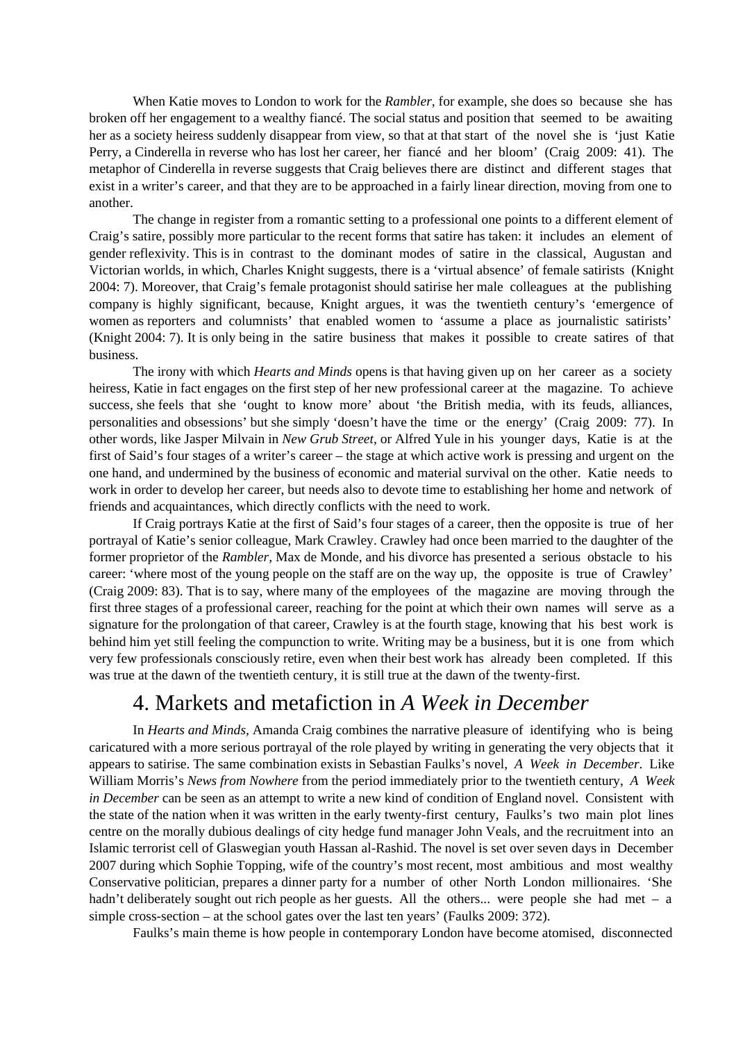When Katie moves to London to work for the *Rambler,* for example, she does so because she has broken off her engagement to a wealthy fiancé. The social status and position that seemed to be awaiting her as a society heiress suddenly disappear from view, so that at that start of the novel she is 'just Katie Perry, a Cinderella in reverse who has lost her career, her fiancé and her bloom' (Craig 2009: 41). The metaphor of Cinderella in reverse suggests that Craig believes there are distinct and different stages that exist in a writer's career, and that they are to be approached in a fairly linear direction, moving from one to another.

The change in register from a romantic setting to a professional one points to a different element of Craig's satire, possibly more particular to the recent forms that satire has taken: it includes an element of gender reflexivity. This is in contrast to the dominant modes of satire in the classical, Augustan and Victorian worlds, in which, Charles Knight suggests, there is a 'virtual absence' of female satirists (Knight 2004: 7). Moreover, that Craig's female protagonist should satirise her male colleagues at the publishing company is highly significant, because, Knight argues, it was the twentieth century's 'emergence of women as reporters and columnists' that enabled women to 'assume a place as journalistic satirists' (Knight 2004: 7). It is only being in the satire business that makes it possible to create satires of that business.

The irony with which *Hearts and Minds* opens is that having given up on her career as a society heiress, Katie in fact engages on the first step of her new professional career at the magazine. To achieve success, she feels that she 'ought to know more' about 'the British media, with its feuds, alliances, personalities and obsessions' but she simply 'doesn't have the time or the energy' (Craig 2009: 77). In other words, like Jasper Milvain in *New Grub Street*, or Alfred Yule in his younger days, Katie is at the first of Said's four stages of a writer's career – the stage at which active work is pressing and urgent on the one hand, and undermined by the business of economic and material survival on the other. Katie needs to work in order to develop her career, but needs also to devote time to establishing her home and network of friends and acquaintances, which directly conflicts with the need to work.

If Craig portrays Katie at the first of Said's four stages of a career, then the opposite is true of her portrayal of Katie's senior colleague, Mark Crawley. Crawley had once been married to the daughter of the former proprietor of the *Rambler,* Max de Monde, and his divorce has presented a serious obstacle to his career: 'where most of the young people on the staff are on the way up, the opposite is true of Crawley' (Craig 2009: 83). That is to say, where many of the employees of the magazine are moving through the first three stages of a professional career, reaching for the point at which their own names will serve as a signature for the prolongation of that career, Crawley is at the fourth stage, knowing that his best work is behind him yet still feeling the compunction to write. Writing may be a business, but it is one from which very few professionals consciously retire, even when their best work has already been completed. If this was true at the dawn of the twentieth century, it is still true at the dawn of the twenty-first.

# 4. Markets and metafiction in *A Week in December*

In *Hearts and Minds,* Amanda Craig combines the narrative pleasure of identifying who is being caricatured with a more serious portrayal of the role played by writing in generating the very objects that it appears to satirise. The same combination exists in Sebastian Faulks's novel, *A Week in December*. Like William Morris's *News from Nowhere* from the period immediately prior to the twentieth century, *A Week in December* can be seen as an attempt to write a new kind of condition of England novel. Consistent with the state of the nation when it was written in the early twenty-first century, Faulks's two main plot lines centre on the morally dubious dealings of city hedge fund manager John Veals, and the recruitment into an Islamic terrorist cell of Glaswegian youth Hassan al-Rashid. The novel is set over seven days in December 2007 during which Sophie Topping, wife of the country's most recent, most ambitious and most wealthy Conservative politician, prepares a dinner party for a number of other North London millionaires. 'She hadn't deliberately sought out rich people as her guests. All the others... were people she had met – a simple cross-section – at the school gates over the last ten years' (Faulks 2009: 372).

Faulks's main theme is how people in contemporary London have become atomised, disconnected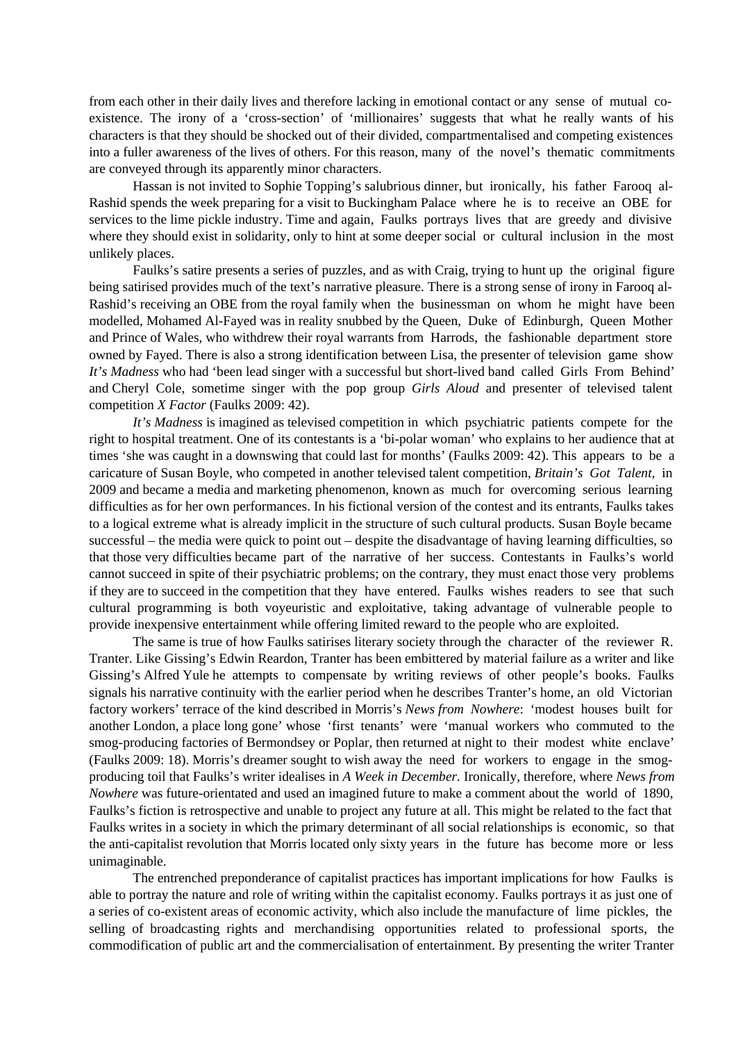from each other in their daily lives and therefore lacking in emotional contact or any sense of mutual coexistence. The irony of a 'cross-section' of 'millionaires' suggests that what he really wants of his characters is that they should be shocked out of their divided, compartmentalised and competing existences into a fuller awareness of the lives of others. For this reason, many of the novel's thematic commitments are conveyed through its apparently minor characters.

Hassan is not invited to Sophie Topping's salubrious dinner, but ironically, his father Farooq al-Rashid spends the week preparing for a visit to Buckingham Palace where he is to receive an OBE for services to the lime pickle industry. Time and again, Faulks portrays lives that are greedy and divisive where they should exist in solidarity, only to hint at some deeper social or cultural inclusion in the most unlikely places.

Faulks's satire presents a series of puzzles, and as with Craig, trying to hunt up the original figure being satirised provides much of the text's narrative pleasure. There is a strong sense of irony in Farooq al-Rashid's receiving an OBE from the royal family when the businessman on whom he might have been modelled, Mohamed Al-Fayed was in reality snubbed by the Queen, Duke of Edinburgh, Queen Mother and Prince of Wales, who withdrew their royal warrants from Harrods, the fashionable department store owned by Fayed. There is also a strong identification between Lisa, the presenter of television game show *It's Madness* who had 'been lead singer with a successful but short-lived band called Girls From Behind' and Cheryl Cole, sometime singer with the pop group *Girls Aloud* and presenter of televised talent competition *X Factor* (Faulks 2009: 42).

*It's Madness* is imagined as televised competition in which psychiatric patients compete for the right to hospital treatment. One of its contestants is a 'bi-polar woman' who explains to her audience that at times 'she was caught in a downswing that could last for months' (Faulks 2009: 42). This appears to be a caricature of Susan Boyle, who competed in another televised talent competition, *Britain's Got Talent*, in 2009 and became a media and marketing phenomenon, known as much for overcoming serious learning difficulties as for her own performances. In his fictional version of the contest and its entrants, Faulks takes to a logical extreme what is already implicit in the structure of such cultural products. Susan Boyle became successful – the media were quick to point out – despite the disadvantage of having learning difficulties, so that those very difficulties became part of the narrative of her success. Contestants in Faulks's world cannot succeed in spite of their psychiatric problems; on the contrary, they must enact those very problems if they are to succeed in the competition that they have entered. Faulks wishes readers to see that such cultural programming is both voyeuristic and exploitative, taking advantage of vulnerable people to provide inexpensive entertainment while offering limited reward to the people who are exploited.

The same is true of how Faulks satirises literary society through the character of the reviewer R. Tranter. Like Gissing's Edwin Reardon, Tranter has been embittered by material failure as a writer and like Gissing's Alfred Yule he attempts to compensate by writing reviews of other people's books. Faulks signals his narrative continuity with the earlier period when he describes Tranter's home, an old Victorian factory workers' terrace of the kind described in Morris's *News from Nowhere*: 'modest houses built for another London, a place long gone' whose 'first tenants' were 'manual workers who commuted to the smog-producing factories of Bermondsey or Poplar, then returned at night to their modest white enclave' (Faulks 2009: 18). Morris's dreamer sought to wish away the need for workers to engage in the smogproducing toil that Faulks's writer idealises in *A Week in December.* Ironically, therefore, where *News from Nowhere* was future-orientated and used an imagined future to make a comment about the world of 1890, Faulks's fiction is retrospective and unable to project any future at all. This might be related to the fact that Faulks writes in a society in which the primary determinant of all social relationships is economic, so that the anti-capitalist revolution that Morris located only sixty years in the future has become more or less unimaginable.

The entrenched preponderance of capitalist practices has important implications for how Faulks is able to portray the nature and role of writing within the capitalist economy. Faulks portrays it as just one of a series of co-existent areas of economic activity, which also include the manufacture of lime pickles, the selling of broadcasting rights and merchandising opportunities related to professional sports, the commodification of public art and the commercialisation of entertainment. By presenting the writer Tranter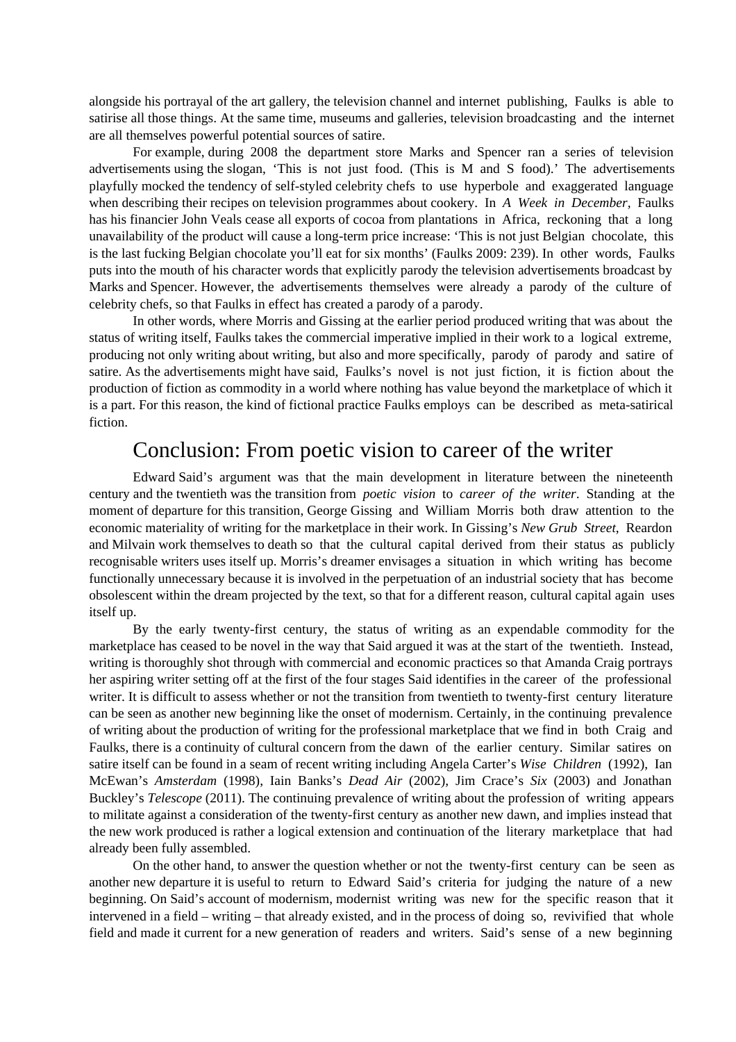alongside his portrayal of the art gallery, the television channel and internet publishing, Faulks is able to satirise all those things. At the same time, museums and galleries, television broadcasting and the internet are all themselves powerful potential sources of satire.

For example, during 2008 the department store Marks and Spencer ran a series of television advertisements using the slogan, 'This is not just food. (This is M and S food).' The advertisements playfully mocked the tendency of self-styled celebrity chefs to use hyperbole and exaggerated language when describing their recipes on television programmes about cookery. In *A Week in December,* Faulks has his financier John Veals cease all exports of cocoa from plantations in Africa, reckoning that a long unavailability of the product will cause a long-term price increase: 'This is not just Belgian chocolate, this is the last fucking Belgian chocolate you'll eat for six months' (Faulks 2009: 239). In other words, Faulks puts into the mouth of his character words that explicitly parody the television advertisements broadcast by Marks and Spencer. However, the advertisements themselves were already a parody of the culture of celebrity chefs, so that Faulks in effect has created a parody of a parody.

In other words, where Morris and Gissing at the earlier period produced writing that was about the status of writing itself, Faulks takes the commercial imperative implied in their work to a logical extreme, producing not only writing about writing, but also and more specifically, parody of parody and satire of satire. As the advertisements might have said, Faulks's novel is not just fiction, it is fiction about the production of fiction as commodity in a world where nothing has value beyond the marketplace of which it is a part. For this reason, the kind of fictional practice Faulks employs can be described as meta-satirical fiction.

### Conclusion: From poetic vision to career of the writer

Edward Said's argument was that the main development in literature between the nineteenth century and the twentieth was the transition from *poetic vision* to *career of the writer*. Standing at the moment of departure for this transition, George Gissing and William Morris both draw attention to the economic materiality of writing for the marketplace in their work. In Gissing's *New Grub Street*, Reardon and Milvain work themselves to death so that the cultural capital derived from their status as publicly recognisable writers uses itself up. Morris's dreamer envisages a situation in which writing has become functionally unnecessary because it is involved in the perpetuation of an industrial society that has become obsolescent within the dream projected by the text, so that for a different reason, cultural capital again uses itself up.

By the early twenty-first century, the status of writing as an expendable commodity for the marketplace has ceased to be novel in the way that Said argued it was at the start of the twentieth. Instead, writing is thoroughly shot through with commercial and economic practices so that Amanda Craig portrays her aspiring writer setting off at the first of the four stages Said identifies in the career of the professional writer. It is difficult to assess whether or not the transition from twentieth to twenty-first century literature can be seen as another new beginning like the onset of modernism. Certainly, in the continuing prevalence of writing about the production of writing for the professional marketplace that we find in both Craig and Faulks, there is a continuity of cultural concern from the dawn of the earlier century. Similar satires on satire itself can be found in a seam of recent writing including Angela Carter's *Wise Children* (1992), Ian McEwan's *Amsterdam* (1998), Iain Banks's *Dead Air* (2002)*,* Jim Crace's *Six* (2003) and Jonathan Buckley's *Telescope* (2011). The continuing prevalence of writing about the profession of writing appears to militate against a consideration of the twenty-first century as another new dawn, and implies instead that the new work produced is rather a logical extension and continuation of the literary marketplace that had already been fully assembled.

On the other hand, to answer the question whether or not the twenty-first century can be seen as another new departure it is useful to return to Edward Said's criteria for judging the nature of a new beginning. On Said's account of modernism, modernist writing was new for the specific reason that it intervened in a field – writing – that already existed, and in the process of doing so, revivified that whole field and made it current for a new generation of readers and writers. Said's sense of a new beginning